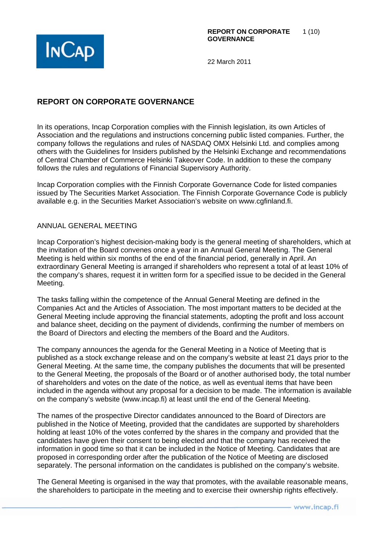

# **REPORT ON CORPORATE GOVERNANCE**

In its operations, Incap Corporation complies with the Finnish legislation, its own Articles of Association and the regulations and instructions concerning public listed companies. Further, the company follows the regulations and rules of NASDAQ OMX Helsinki Ltd. and complies among others with the Guidelines for Insiders published by the Helsinki Exchange and recommendations of Central Chamber of Commerce Helsinki Takeover Code. In addition to these the company follows the rules and regulations of Financial Supervisory Authority.

Incap Corporation complies with the Finnish Corporate Governance Code for listed companies issued by The Securities Market Association. The Finnish Corporate Governance Code is publicly available e.g. in the Securities Market Association's website on www.cgfinland.fi.

# ANNUAL GENERAL MEETING

Incap Corporation's highest decision-making body is the general meeting of shareholders, which at the invitation of the Board convenes once a year in an Annual General Meeting. The General Meeting is held within six months of the end of the financial period, generally in April. An extraordinary General Meeting is arranged if shareholders who represent a total of at least 10% of the company's shares, request it in written form for a specified issue to be decided in the General Meeting.

The tasks falling within the competence of the Annual General Meeting are defined in the Companies Act and the Articles of Association. The most important matters to be decided at the General Meeting include approving the financial statements, adopting the profit and loss account and balance sheet, deciding on the payment of dividends, confirming the number of members on the Board of Directors and electing the members of the Board and the Auditors.

The company announces the agenda for the General Meeting in a Notice of Meeting that is published as a stock exchange release and on the company's website at least 21 days prior to the General Meeting. At the same time, the company publishes the documents that will be presented to the General Meeting, the proposals of the Board or of another authorised body, the total number of shareholders and votes on the date of the notice, as well as eventual items that have been included in the agenda without any proposal for a decision to be made. The information is available on the company's website (www.incap.fi) at least until the end of the General Meeting.

The names of the prospective Director candidates announced to the Board of Directors are published in the Notice of Meeting, provided that the candidates are supported by shareholders holding at least 10% of the votes conferred by the shares in the company and provided that the candidates have given their consent to being elected and that the company has received the information in good time so that it can be included in the Notice of Meeting. Candidates that are proposed in corresponding order after the publication of the Notice of Meeting are disclosed separately. The personal information on the candidates is published on the company's website.

The General Meeting is organised in the way that promotes, with the available reasonable means, the shareholders to participate in the meeting and to exercise their ownership rights effectively.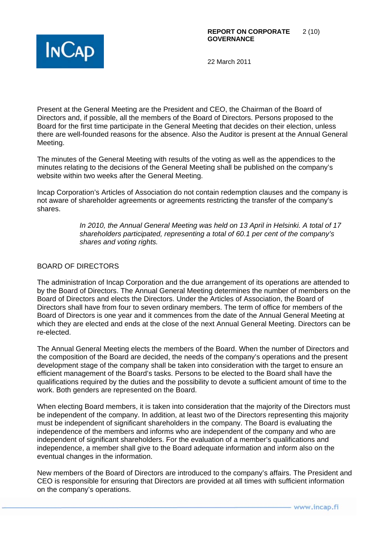

Present at the General Meeting are the President and CEO, the Chairman of the Board of Directors and, if possible, all the members of the Board of Directors. Persons proposed to the Board for the first time participate in the General Meeting that decides on their election, unless there are well-founded reasons for the absence. Also the Auditor is present at the Annual General Meeting.

The minutes of the General Meeting with results of the voting as well as the appendices to the minutes relating to the decisions of the General Meeting shall be published on the company's website within two weeks after the General Meeting.

Incap Corporation's Articles of Association do not contain redemption clauses and the company is not aware of shareholder agreements or agreements restricting the transfer of the company's shares.

> *In 2010, the Annual General Meeting was held on 13 April in Helsinki. A total of 17 shareholders participated, representing a total of 60.1 per cent of the company's shares and voting rights.*

# BOARD OF DIRECTORS

The administration of Incap Corporation and the due arrangement of its operations are attended to by the Board of Directors. The Annual General Meeting determines the number of members on the Board of Directors and elects the Directors. Under the Articles of Association, the Board of Directors shall have from four to seven ordinary members. The term of office for members of the Board of Directors is one year and it commences from the date of the Annual General Meeting at which they are elected and ends at the close of the next Annual General Meeting. Directors can be re-elected.

The Annual General Meeting elects the members of the Board. When the number of Directors and the composition of the Board are decided, the needs of the company's operations and the present development stage of the company shall be taken into consideration with the target to ensure an efficient management of the Board's tasks. Persons to be elected to the Board shall have the qualifications required by the duties and the possibility to devote a sufficient amount of time to the work. Both genders are represented on the Board.

When electing Board members, it is taken into consideration that the majority of the Directors must be independent of the company. In addition, at least two of the Directors representing this majority must be independent of significant shareholders in the company. The Board is evaluating the independence of the members and informs who are independent of the company and who are independent of significant shareholders. For the evaluation of a member's qualifications and independence, a member shall give to the Board adequate information and inform also on the eventual changes in the information.

New members of the Board of Directors are introduced to the company's affairs. The President and CEO is responsible for ensuring that Directors are provided at all times with sufficient information on the company's operations.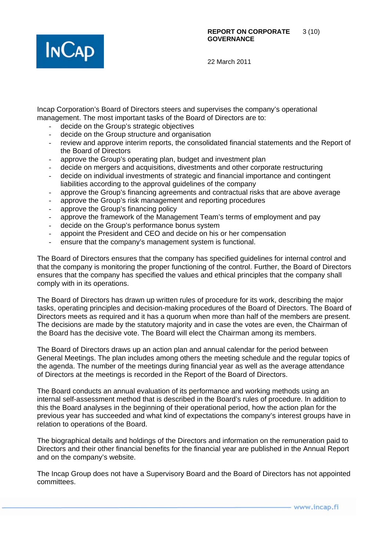

Incap Corporation's Board of Directors steers and supervises the company's operational management. The most important tasks of the Board of Directors are to:

- decide on the Group's strategic objectives
- decide on the Group structure and organisation
- review and approve interim reports, the consolidated financial statements and the Report of the Board of Directors
- approve the Group's operating plan, budget and investment plan
- decide on mergers and acquisitions, divestments and other corporate restructuring
- decide on individual investments of strategic and financial importance and contingent liabilities according to the approval guidelines of the company
- approve the Group's financing agreements and contractual risks that are above average
- approve the Group's risk management and reporting procedures
- approve the Group's financing policy
- approve the framework of the Management Team's terms of employment and pay
- decide on the Group's performance bonus system
- appoint the President and CEO and decide on his or her compensation
- ensure that the company's management system is functional.

The Board of Directors ensures that the company has specified guidelines for internal control and that the company is monitoring the proper functioning of the control. Further, the Board of Directors ensures that the company has specified the values and ethical principles that the company shall comply with in its operations.

The Board of Directors has drawn up written rules of procedure for its work, describing the major tasks, operating principles and decision-making procedures of the Board of Directors. The Board of Directors meets as required and it has a quorum when more than half of the members are present. The decisions are made by the statutory majority and in case the votes are even, the Chairman of the Board has the decisive vote. The Board will elect the Chairman among its members.

The Board of Directors draws up an action plan and annual calendar for the period between General Meetings. The plan includes among others the meeting schedule and the regular topics of the agenda. The number of the meetings during financial year as well as the average attendance of Directors at the meetings is recorded in the Report of the Board of Directors.

The Board conducts an annual evaluation of its performance and working methods using an internal self-assessment method that is described in the Board's rules of procedure. In addition to this the Board analyses in the beginning of their operational period, how the action plan for the previous year has succeeded and what kind of expectations the company's interest groups have in relation to operations of the Board.

The biographical details and holdings of the Directors and information on the remuneration paid to Directors and their other financial benefits for the financial year are published in the Annual Report and on the company's website.

The Incap Group does not have a Supervisory Board and the Board of Directors has not appointed committees.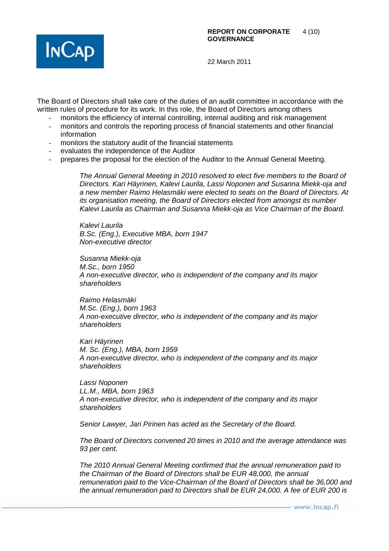

The Board of Directors shall take care of the duties of an audit committee in accordance with the written rules of procedure for its work. In this role, the Board of Directors among others

- monitors the efficiency of internal controlling, internal auditing and risk management
- monitors and controls the reporting process of financial statements and other financial information
- monitors the statutory audit of the financial statements
- evaluates the independence of the Auditor
- prepares the proposal for the election of the Auditor to the Annual General Meeting.

*The Annual General Meeting in 2010 resolved to elect five members to the Board of Directors. Kari Häyrinen, Kalevi Laurila, Lassi Noponen and Susanna Miekk-oja and a new member Raimo Helasmäki were elected to seats on the Board of Directors. At its organisation meeting, the Board of Directors elected from amongst its number Kalevi Laurila as Chairman and Susanna Miekk-oja as Vice Chairman of the Board.* 

*Kalevi Laurila B.Sc. (Eng.), Executive MBA, born 1947 Non-executive director* 

*Susanna Miekk-oja M.Sc., born 1950 A non-executive director, who is independent of the company and its major shareholders* 

*Raimo Helasmäki M.Sc. (Eng.), born 1963 A non-executive director, who is independent of the company and its major shareholders* 

*Kari Häyrinen M. Sc. (Eng.), MBA, born 1959 A non-executive director, who is independent of the company and its major shareholders* 

*Lassi Noponen LL.M., MBA, born 1963 A non-executive director, who is independent of the company and its major shareholders* 

*Senior Lawyer, Jari Pirinen has acted as the Secretary of the Board.* 

*The Board of Directors convened 20 times in 2010 and the average attendance was 93 per cent.* 

*The 2010 Annual General Meeting confirmed that the annual remuneration paid to the Chairman of the Board of Directors shall be EUR 48,000, the annual remuneration paid to the Vice-Chairman of the Board of Directors shall be 36,000 and the annual remuneration paid to Directors shall be EUR 24,000. A fee of EUR 200 is*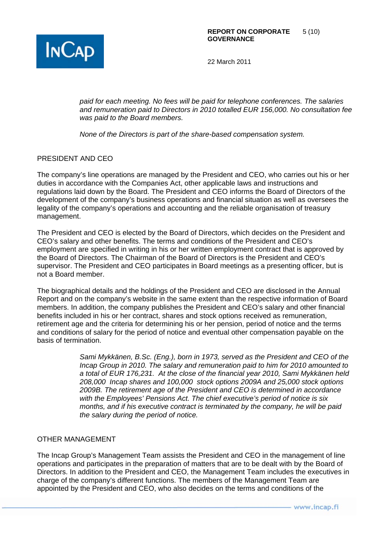

*paid for each meeting. No fees will be paid for telephone conferences. The salaries and remuneration paid to Directors in 2010 totalled EUR 156,000. No consultation fee was paid to the Board members.* 

*None of the Directors is part of the share-based compensation system.* 

# PRESIDENT AND CEO

The company's line operations are managed by the President and CEO, who carries out his or her duties in accordance with the Companies Act, other applicable laws and instructions and regulations laid down by the Board. The President and CEO informs the Board of Directors of the development of the company's business operations and financial situation as well as oversees the legality of the company's operations and accounting and the reliable organisation of treasury management.

The President and CEO is elected by the Board of Directors, which decides on the President and CEO's salary and other benefits. The terms and conditions of the President and CEO's employment are specified in writing in his or her written employment contract that is approved by the Board of Directors. The Chairman of the Board of Directors is the President and CEO's supervisor. The President and CEO participates in Board meetings as a presenting officer, but is not a Board member.

The biographical details and the holdings of the President and CEO are disclosed in the Annual Report and on the company's website in the same extent than the respective information of Board members. In addition, the company publishes the President and CEO's salary and other financial benefits included in his or her contract, shares and stock options received as remuneration, retirement age and the criteria for determining his or her pension, period of notice and the terms and conditions of salary for the period of notice and eventual other compensation payable on the basis of termination.

> *Sami Mykkänen, B.Sc. (Eng.), born in 1973, served as the President and CEO of the Incap Group in 2010. The salary and remuneration paid to him for 2010 amounted to a total of EUR 176,231. At the close of the financial year 2010, Sami Mykkänen held 208,000 Incap shares and 100,000 stock options 2009A and 25,000 stock options 2009B. The retirement age of the President and CEO is determined in accordance with the Employees' Pensions Act. The chief executive's period of notice is six months, and if his executive contract is terminated by the company, he will be paid the salary during the period of notice.*

# OTHER MANAGEMENT

The Incap Group's Management Team assists the President and CEO in the management of line operations and participates in the preparation of matters that are to be dealt with by the Board of Directors. In addition to the President and CEO, the Management Team includes the executives in charge of the company's different functions. The members of the Management Team are appointed by the President and CEO, who also decides on the terms and conditions of the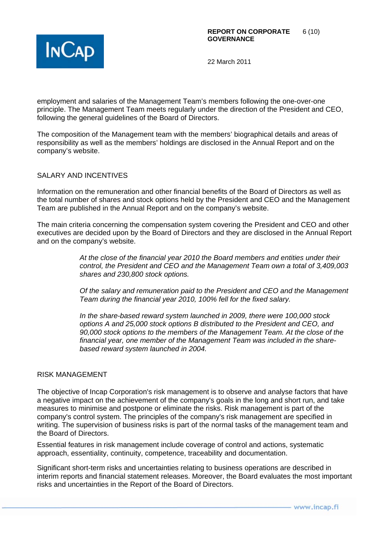

employment and salaries of the Management Team's members following the one-over-one principle. The Management Team meets regularly under the direction of the President and CEO, following the general guidelines of the Board of Directors.

The composition of the Management team with the members' biographical details and areas of responsibility as well as the members' holdings are disclosed in the Annual Report and on the company's website.

# SALARY AND INCENTIVES

Information on the remuneration and other financial benefits of the Board of Directors as well as the total number of shares and stock options held by the President and CEO and the Management Team are published in the Annual Report and on the company's website.

The main criteria concerning the compensation system covering the President and CEO and other executives are decided upon by the Board of Directors and they are disclosed in the Annual Report and on the company's website.

> *At the close of the financial year 2010 the Board members and entities under their control, the President and CEO and the Management Team own a total of 3,409,003 shares and 230,800 stock options.*

> *Of the salary and remuneration paid to the President and CEO and the Management Team during the financial year 2010, 100% fell for the fixed salary.*

*In the share-based reward system launched in 2009, there were 100,000 stock options A and 25,000 stock options B distributed to the President and CEO, and 90,000 stock options to the members of the Management Team. At the close of the financial year, one member of the Management Team was included in the sharebased reward system launched in 2004.* 

#### RISK MANAGEMENT

The objective of Incap Corporation's risk management is to observe and analyse factors that have a negative impact on the achievement of the company's goals in the long and short run, and take measures to minimise and postpone or eliminate the risks. Risk management is part of the company's control system. The principles of the company's risk management are specified in writing. The supervision of business risks is part of the normal tasks of the management team and the Board of Directors.

Essential features in risk management include coverage of control and actions, systematic approach, essentiality, continuity, competence, traceability and documentation.

Significant short-term risks and uncertainties relating to business operations are described in interim reports and financial statement releases. Moreover, the Board evaluates the most important risks and uncertainties in the Report of the Board of Directors.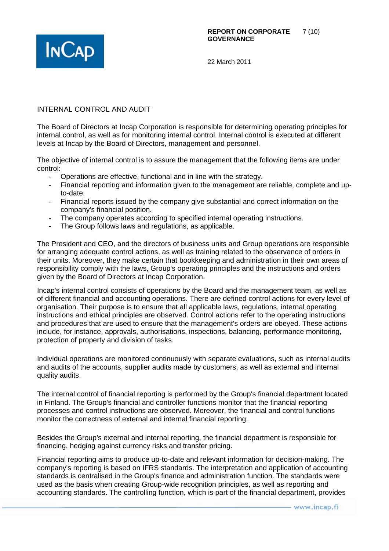

# INTERNAL CONTROL AND AUDIT

The Board of Directors at Incap Corporation is responsible for determining operating principles for internal control, as well as for monitoring internal control. Internal control is executed at different levels at Incap by the Board of Directors, management and personnel.

The objective of internal control is to assure the management that the following items are under control:

- Operations are effective, functional and in line with the strategy.
- Financial reporting and information given to the management are reliable, complete and upto-date.
- Financial reports issued by the company give substantial and correct information on the company's financial position.
- The company operates according to specified internal operating instructions.
- The Group follows laws and regulations, as applicable.

The President and CEO, and the directors of business units and Group operations are responsible for arranging adequate control actions, as well as training related to the observance of orders in their units. Moreover, they make certain that bookkeeping and administration in their own areas of responsibility comply with the laws, Group's operating principles and the instructions and orders given by the Board of Directors at Incap Corporation.

Incap's internal control consists of operations by the Board and the management team, as well as of different financial and accounting operations. There are defined control actions for every level of organisation. Their purpose is to ensure that all applicable laws, regulations, internal operating instructions and ethical principles are observed. Control actions refer to the operating instructions and procedures that are used to ensure that the management's orders are obeyed. These actions include, for instance, approvals, authorisations, inspections, balancing, performance monitoring, protection of property and division of tasks.

Individual operations are monitored continuously with separate evaluations, such as internal audits and audits of the accounts, supplier audits made by customers, as well as external and internal quality audits.

The internal control of financial reporting is performed by the Group's financial department located in Finland. The Group's financial and controller functions monitor that the financial reporting processes and control instructions are observed. Moreover, the financial and control functions monitor the correctness of external and internal financial reporting.

Besides the Group's external and internal reporting, the financial department is responsible for financing, hedging against currency risks and transfer pricing.

Financial reporting aims to produce up-to-date and relevant information for decision-making. The company's reporting is based on IFRS standards. The interpretation and application of accounting standards is centralised in the Group's finance and administration function. The standards were used as the basis when creating Group-wide recognition principles, as well as reporting and accounting standards. The controlling function, which is part of the financial department, provides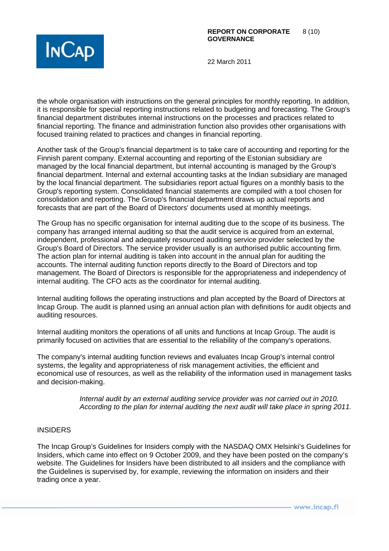

the whole organisation with instructions on the general principles for monthly reporting. In addition, it is responsible for special reporting instructions related to budgeting and forecasting. The Group's financial department distributes internal instructions on the processes and practices related to financial reporting. The finance and administration function also provides other organisations with focused training related to practices and changes in financial reporting.

Another task of the Group's financial department is to take care of accounting and reporting for the Finnish parent company. External accounting and reporting of the Estonian subsidiary are managed by the local financial department, but internal accounting is managed by the Group's financial department. Internal and external accounting tasks at the Indian subsidiary are managed by the local financial department. The subsidiaries report actual figures on a monthly basis to the Group's reporting system. Consolidated financial statements are compiled with a tool chosen for consolidation and reporting. The Group's financial department draws up actual reports and forecasts that are part of the Board of Directors' documents used at monthly meetings.

The Group has no specific organisation for internal auditing due to the scope of its business. The company has arranged internal auditing so that the audit service is acquired from an external, independent, professional and adequately resourced auditing service provider selected by the Group's Board of Directors. The service provider usually is an authorised public accounting firm. The action plan for internal auditing is taken into account in the annual plan for auditing the accounts. The internal auditing function reports directly to the Board of Directors and top management. The Board of Directors is responsible for the appropriateness and independency of internal auditing. The CFO acts as the coordinator for internal auditing.

Internal auditing follows the operating instructions and plan accepted by the Board of Directors at Incap Group. The audit is planned using an annual action plan with definitions for audit objects and auditing resources.

Internal auditing monitors the operations of all units and functions at Incap Group. The audit is primarily focused on activities that are essential to the reliability of the company's operations.

The company's internal auditing function reviews and evaluates Incap Group's internal control systems, the legality and appropriateness of risk management activities, the efficient and economical use of resources, as well as the reliability of the information used in management tasks and decision-making.

> *Internal audit by an external auditing service provider was not carried out in 2010. According to the plan for internal auditing the next audit will take place in spring 2011.*

# INSIDERS

The Incap Group's Guidelines for Insiders comply with the NASDAQ OMX Helsinki's Guidelines for Insiders, which came into effect on 9 October 2009, and they have been posted on the company's website. The Guidelines for Insiders have been distributed to all insiders and the compliance with the Guidelines is supervised by, for example, reviewing the information on insiders and their trading once a year.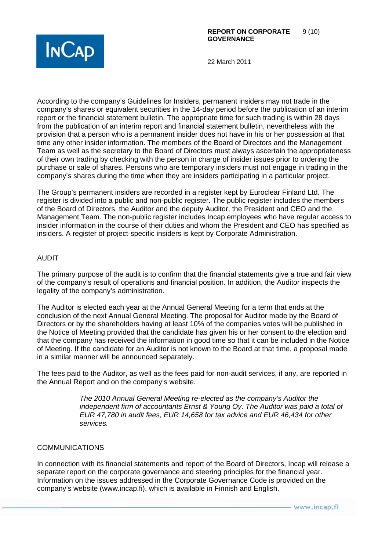

According to the company's Guidelines for Insiders, permanent insiders may not trade in the company's shares or equivalent securities in the 14-day period before the publication of an interim report or the financial statement bulletin. The appropriate time for such trading is within 28 days from the publication of an interim report and financial statement bulletin, nevertheless with the provision that a person who is a permanent insider does not have in his or her possession at that time any other insider information. The members of the Board of Directors and the Management Team as well as the secretary to the Board of Directors must always ascertain the appropriateness of their own trading by checking with the person in charge of insider issues prior to ordering the purchase or sale of shares. Persons who are temporary insiders must not engage in trading in the company's shares during the time when they are insiders participating in a particular project.

The Group's permanent insiders are recorded in a register kept by Euroclear Finland Ltd. The register is divided into a public and non-public register. The public register includes the members of the Board of Directors, the Auditor and the deputy Auditor, the President and CEO and the Management Team. The non-public register includes Incap employees who have regular access to insider information in the course of their duties and whom the President and CEO has specified as insiders. A register of project-specific insiders is kept by Corporate Administration.

# AUDIT

The primary purpose of the audit is to confirm that the financial statements give a true and fair view of the company's result of operations and financial position. In addition, the Auditor inspects the legality of the company's administration.

The Auditor is elected each year at the Annual General Meeting for a term that ends at the conclusion of the next Annual General Meeting. The proposal for Auditor made by the Board of Directors or by the shareholders having at least 10% of the companies votes will be published in the Notice of Meeting provided that the candidate has given his or her consent to the election and that the company has received the information in good time so that it can be included in the Notice of Meeting. If the candidate for an Auditor is not known to the Board at that time, a proposal made in a similar manner will be announced separately.

The fees paid to the Auditor, as well as the fees paid for non-audit services, if any, are reported in the Annual Report and on the company's website.

> *The 2010 Annual General Meeting re-elected as the company's Auditor the independent firm of accountants Ernst & Young Oy. The Auditor was paid a total of EUR 47,780 in audit fees, EUR 14,658 for tax advice and EUR 46,434 for other services.*

# COMMUNICATIONS

In connection with its financial statements and report of the Board of Directors, Incap will release a separate report on the corporate governance and steering principles for the financial year. Information on the issues addressed in the Corporate Governance Code is provided on the company's website (www.incap.fi), which is available in Finnish and English.